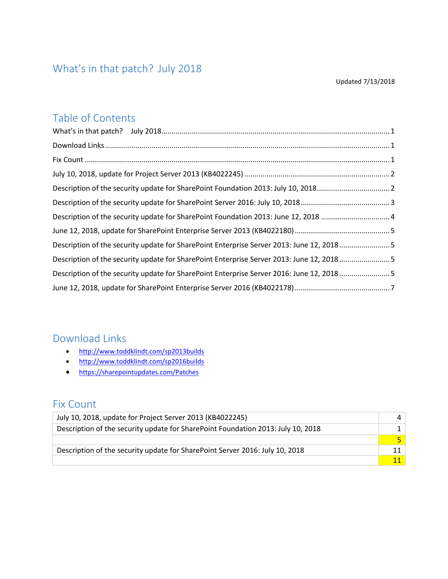### <span id="page-0-0"></span>What's in that patch? July 2018

#### Updated 7/13/2018

### Table of Contents

| Description of the security update for SharePoint Foundation 2013: June 12, 2018  4      |  |
|------------------------------------------------------------------------------------------|--|
|                                                                                          |  |
| Description of the security update for SharePoint Enterprise Server 2013: June 12, 20185 |  |
| Description of the security update for SharePoint Enterprise Server 2013: June 12, 20185 |  |
| Description of the security update for SharePoint Enterprise Server 2016: June 12, 20185 |  |
|                                                                                          |  |

### <span id="page-0-1"></span>Download Links

- <http://www.toddklindt.com/sp2013builds>
- <http://www.toddklindt.com/sp2016builds>
- <https://sharepointupdates.com/Patches>

### <span id="page-0-2"></span>Fix Count

| July 10, 2018, update for Project Server 2013 (KB4022245)                        |  |
|----------------------------------------------------------------------------------|--|
| Description of the security update for SharePoint Foundation 2013: July 10, 2018 |  |
|                                                                                  |  |
| Description of the security update for SharePoint Server 2016: July 10, 2018     |  |
|                                                                                  |  |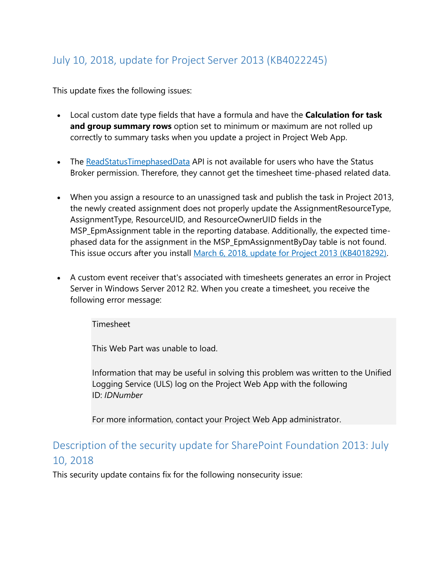### <span id="page-1-0"></span>July 10, 2018, update for Project Server 2013 (KB4022245)

This update fixes the following issues:

- Local custom date type fields that have a formula and have the **Calculation for task and group summary rows** option set to minimum or maximum are not rolled up correctly to summary tasks when you update a project in Project Web App.
- The [ReadStatusTimephasedData](https://msdn.microsoft.com/library/office/gg199670.aspx?f=255&MSPPError=-2147217396) API is not available for users who have the Status Broker permission. Therefore, they cannot get the timesheet time-phased related data.
- When you assign a resource to an unassigned task and publish the task in Project 2013, the newly created assignment does not properly update the AssignmentResourceType, AssignmentType, ResourceUID, and ResourceOwnerUID fields in the MSP\_EpmAssignment table in the reporting database. Additionally, the expected timephased data for the assignment in the MSP\_EpmAssignmentByDay table is not found. This issue occurs after you install [March 6, 2018, update for Project 2013 \(KB4018292\).](https://support.microsoft.com/en-us/help/4018292)
- A custom event receiver that's associated with timesheets generates an error in Project Server in Windows Server 2012 R2. When you create a timesheet, you receive the following error message:

Timesheet

This Web Part was unable to load.

Information that may be useful in solving this problem was written to the Unified Logging Service (ULS) log on the Project Web App with the following ID: *IDNumber*

For more information, contact your Project Web App administrator.

### <span id="page-1-1"></span>Description of the security update for SharePoint Foundation 2013: July 10, 2018

This security update contains fix for the following nonsecurity issue: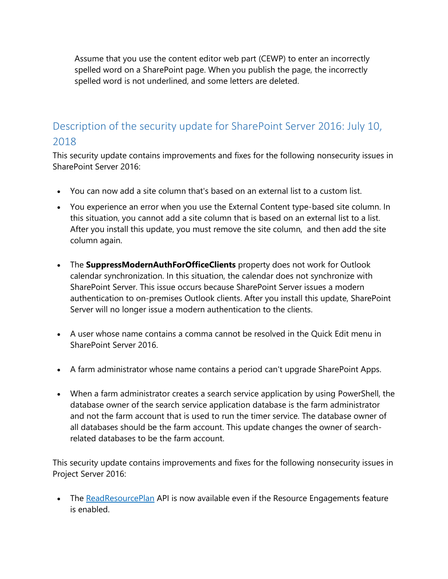Assume that you use the content editor web part (CEWP) to enter an incorrectly spelled word on a SharePoint page. When you publish the page, the incorrectly spelled word is not underlined, and some letters are deleted.

### <span id="page-2-0"></span>Description of the security update for SharePoint Server 2016: July 10, 2018

This security update contains improvements and fixes for the following nonsecurity issues in SharePoint Server 2016:

- You can now add a site column that's based on an external list to a custom list.
- You experience an error when you use the External Content type-based site column. In this situation, you cannot add a site column that is based on an external list to a list. After you install this update, you must remove the site column, and then add the site column again.
- The **SuppressModernAuthForOfficeClients** property does not work for Outlook calendar synchronization. In this situation, the calendar does not synchronize with SharePoint Server. This issue occurs because SharePoint Server issues a modern authentication to on-premises Outlook clients. After you install this update, SharePoint Server will no longer issue a modern authentication to the clients.
- A user whose name contains a comma cannot be resolved in the Quick Edit menu in SharePoint Server 2016.
- A farm administrator whose name contains a period can't upgrade SharePoint Apps.
- When a farm administrator creates a search service application by using PowerShell, the database owner of the search service application database is the farm administrator and not the farm account that is used to run the timer service. The database owner of all databases should be the farm account. This update changes the owner of searchrelated databases to be the farm account.

This security update contains improvements and fixes for the following nonsecurity issues in Project Server 2016:

• The [ReadResourcePlan](https://apac01.safelinks.protection.outlook.com/?url=https%3A%2F%2Fmsdn.microsoft.com%2Flibrary%2Foffice%2Fgg220390.aspx%3Ff%3D255%26MSPPError%3D-2147217396&data=02%7C01%7C%7C7b1dfa9f05c5437591da08d5d66e7ab0%7C72f988bf86f141af91ab2d7cd011db47%7C1%7C0%7C636650692385501308&sdata=3xj%2F5vc0Aru78jeY2U1S4RoLzC%2Fnl1AuVu7N7WEYZvc%3D&reserved=0) API is now available even if the Resource Engagements feature is enabled.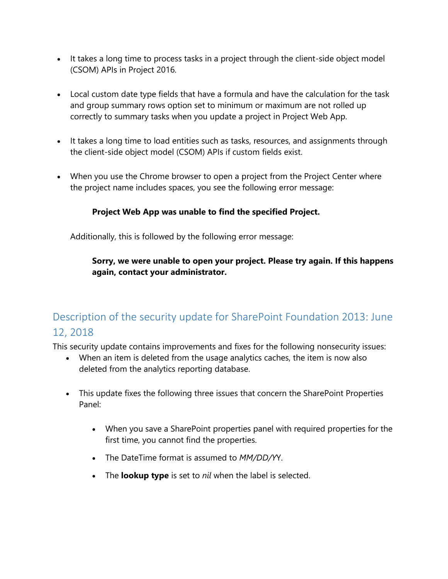- It takes a long time to process tasks in a project through the client-side object model (CSOM) APIs in Project 2016.
- Local custom date type fields that have a formula and have the calculation for the task and group summary rows option set to minimum or maximum are not rolled up correctly to summary tasks when you update a project in Project Web App.
- It takes a long time to load entities such as tasks, resources, and assignments through the client-side object model (CSOM) APIs if custom fields exist.
- When you use the Chrome browser to open a project from the Project Center where the project name includes spaces, you see the following error message:

#### **Project Web App was unable to find the specified Project.**

Additionally, this is followed by the following error message:

#### **Sorry, we were unable to open your project. Please try again. If this happens again, contact your administrator.**

## <span id="page-3-0"></span>Description of the security update for SharePoint Foundation 2013: June 12, 2018

This security update contains improvements and fixes for the following nonsecurity issues:

- When an item is deleted from the usage analytics caches, the item is now also deleted from the analytics reporting database.
- This update fixes the following three issues that concern the SharePoint Properties Panel:
	- When you save a SharePoint properties panel with required properties for the first time, you cannot find the properties.
	- The DateTime format is assumed to *MM/DD/Y*Y.
	- The **lookup type** is set to *nil* when the label is selected.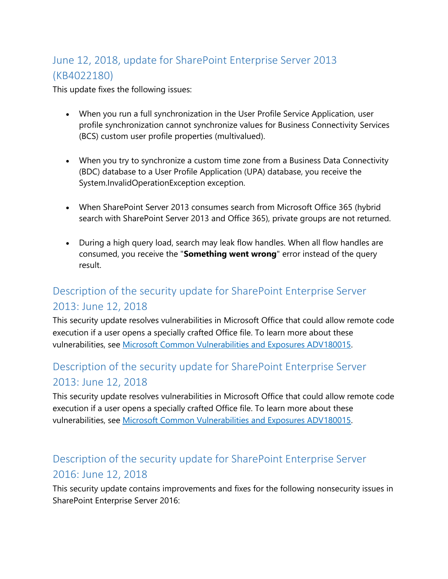# <span id="page-4-0"></span>June 12, 2018, update for SharePoint Enterprise Server 2013 (KB4022180)

This update fixes the following issues:

- When you run a full synchronization in the User Profile Service Application, user profile synchronization cannot synchronize values for Business Connectivity Services (BCS) custom user profile properties (multivalued).
- When you try to synchronize a custom time zone from a Business Data Connectivity (BDC) database to a User Profile Application (UPA) database, you receive the System.InvalidOperationException exception.
- When SharePoint Server 2013 consumes search from Microsoft Office 365 (hybrid search with SharePoint Server 2013 and Office 365), private groups are not returned.
- During a high query load, search may leak flow handles. When all flow handles are consumed, you receive the "**Something went wrong**" error instead of the query result.

# <span id="page-4-1"></span>Description of the security update for SharePoint Enterprise Server 2013: June 12, 2018

This security update resolves vulnerabilities in Microsoft Office that could allow remote code execution if a user opens a specially crafted Office file. To learn more about these vulnerabilities, see [Microsoft Common Vulnerabilities and Exposures ADV180015.](https://portal.msrc.microsoft.com/en-US/security-guidance/advisory/ADV180015)

## <span id="page-4-2"></span>Description of the security update for SharePoint Enterprise Server 2013: June 12, 2018

This security update resolves vulnerabilities in Microsoft Office that could allow remote code execution if a user opens a specially crafted Office file. To learn more about these vulnerabilities, see [Microsoft Common Vulnerabilities and Exposures ADV180015.](https://portal.msrc.microsoft.com/en-US/security-guidance/advisory/ADV180015)

## <span id="page-4-3"></span>Description of the security update for SharePoint Enterprise Server 2016: June 12, 2018

This security update contains improvements and fixes for the following nonsecurity issues in SharePoint Enterprise Server 2016: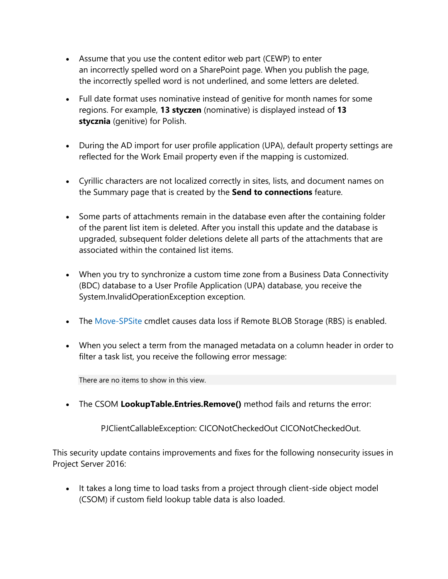- Assume that you use the content editor web part (CEWP) to enter an incorrectly spelled word on a SharePoint page. When you publish the page, the incorrectly spelled word is not underlined, and some letters are deleted.
- Full date format uses nominative instead of genitive for month names for some regions. For example, **13 styczen** (nominative) is displayed instead of **13 stycznia** (genitive) for Polish.
- During the AD import for user profile application (UPA), default property settings are reflected for the Work Email property even if the mapping is customized.
- Cyrillic characters are not localized correctly in sites, lists, and document names on the Summary page that is created by the **Send to connections** feature.
- Some parts of attachments remain in the database even after the containing folder of the parent list item is deleted. After you install this update and the database is upgraded, subsequent folder deletions delete all parts of the attachments that are associated within the contained list items.
- When you try to synchronize a custom time zone from a Business Data Connectivity (BDC) database to a User Profile Application (UPA) database, you receive the System.InvalidOperationException exception.
- The [Move-SPSite](https://docs.microsoft.com/powershell/module/sharepoint-server/move-spsite?view=sharepoint-ps) cmdlet causes data loss if Remote BLOB Storage (RBS) is enabled.
- When you select a term from the managed metadata on a column header in order to filter a task list, you receive the following error message:

There are no items to show in this view.

• The CSOM **LookupTable.Entries.Remove()** method fails and returns the error:

PJClientCallableException: CICONotCheckedOut CICONotCheckedOut.

This security update contains improvements and fixes for the following nonsecurity issues in Project Server 2016:

• It takes a long time to load tasks from a project through client-side object model (CSOM) if custom field lookup table data is also loaded.